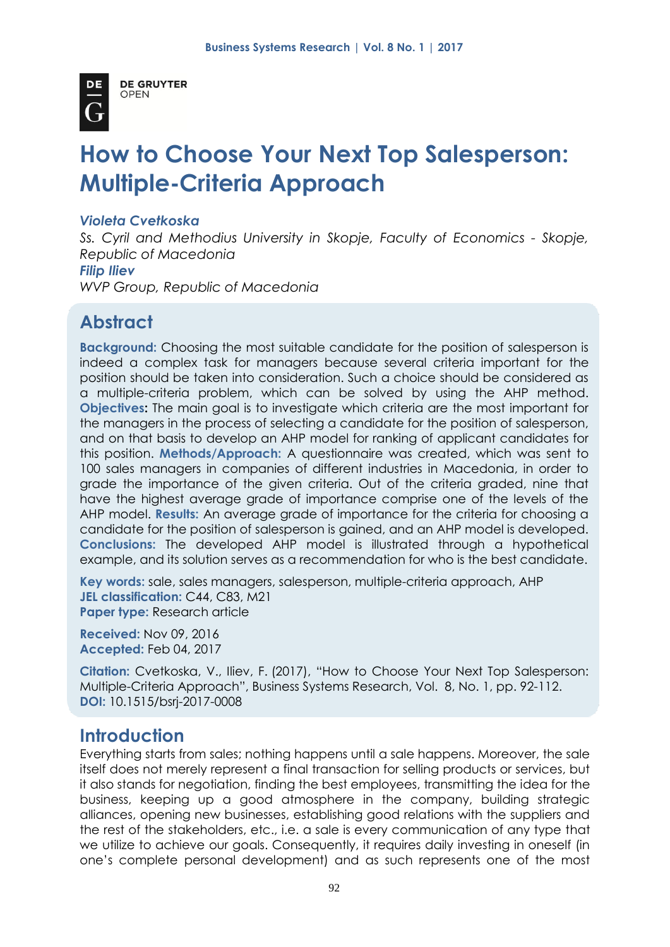

**DE GRUYTER OPEN** 

# **How to Choose Your Next Top Salesperson: Multiple-Criteria Approach**

### *Violeta Cvetkoska*

*Ss. Cyril and Methodius University in Skopje, Faculty of Economics - Skopje, Republic of Macedonia Filip Iliev WVP Group, Republic of Macedonia*

# **Abstract**

**Background:** Choosing the most suitable candidate for the position of salesperson is indeed a complex task for managers because several criteria important for the position should be taken into consideration. Such a choice should be considered as a multiple-criteria problem, which can be solved by using the AHP method. **Objectives:** The main goal is to investigate which criteria are the most important for the managers in the process of selecting a candidate for the position of salesperson, and on that basis to develop an AHP model for ranking of applicant candidates for this position. **Methods/Approach:** A questionnaire was created, which was sent to 100 sales managers in companies of different industries in Macedonia, in order to grade the importance of the given criteria. Out of the criteria graded, nine that have the highest average grade of importance comprise one of the levels of the AHP model. **Results:** An average grade of importance for the criteria for choosing a candidate for the position of salesperson is gained, and an AHP model is developed. **Conclusions:** The developed AHP model is illustrated through a hypothetical example, and its solution serves as a recommendation for who is the best candidate.

**Key words:** sale, sales managers, salesperson, multiple-criteria approach, AHP **JEL classification:** C44, C83, M21 **Paper type:** Research article

**Received:** Nov 09, 2016 **Accepted:** Feb 04, 2017

**Citation:** Cvetkoska, V., Iliev, F. (2017), "How to Choose Your Next Top Salesperson: Multiple-Criteria Approach", Business Systems Research, Vol. 8, No. 1, pp. 92-112. **DOI:** 10.1515/bsrj-2017-0008

### **Introduction**

Everything starts from sales; nothing happens until a sale happens. Moreover, the sale itself does not merely represent a final transaction for selling products or services, but it also stands for negotiation, finding the best employees, transmitting the idea for the business, keeping up a good atmosphere in the company, building strategic alliances, opening new businesses, establishing good relations with the suppliers and the rest of the stakeholders, etc., i.e. a sale is every communication of any type that we utilize to achieve our goals. Consequently, it requires daily investing in oneself (in one's complete personal development) and as such represents one of the most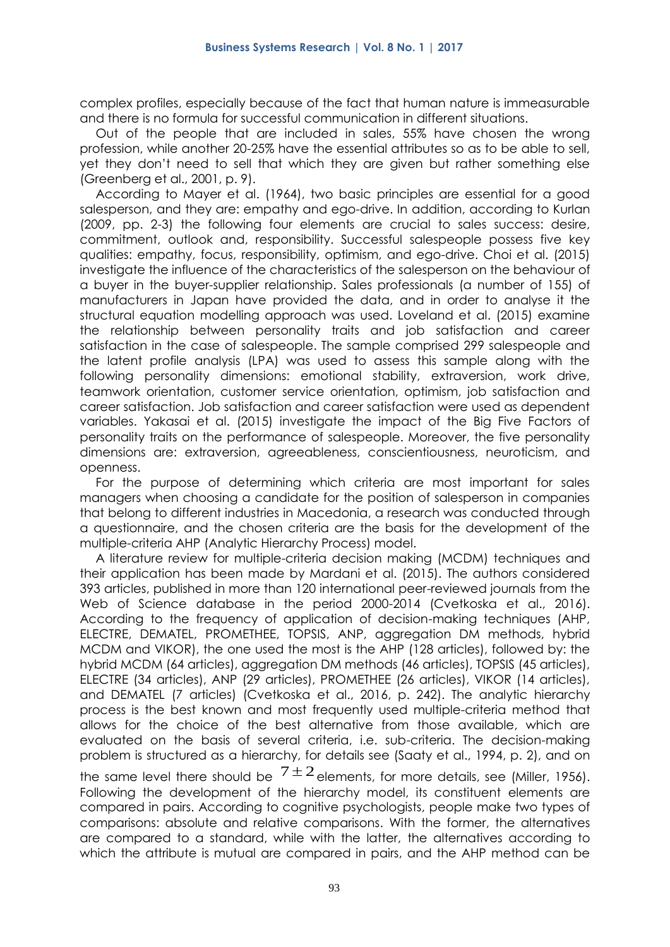complex profiles, especially because of the fact that human nature is immeasurable and there is no formula for successful communication in different situations.

Out of the people that are included in sales, 55% have chosen the wrong profession, while another 20-25% have the essential attributes so as to be able to sell, yet they don't need to sell that which they are given but rather something else (Greenberg et al., 2001, p. 9).

According to Mayer et al. (1964), two basic principles are essential for a good salesperson, and they are: empathy and ego-drive. In addition, according to Kurlan (2009, pp. 2-3) the following four elements are crucial to sales success: desire, commitment, outlook and, responsibility. Successful salespeople possess five key qualities: empathy, focus, responsibility, optimism, and ego-drive. Choi et al. (2015) investigate the influence of the characteristics of the salesperson on the behaviour of a buyer in the buyer-supplier relationship. Sales professionals (a number of 155) of manufacturers in Japan have provided the data, and in order to analyse it the structural equation modelling approach was used. Loveland et al. (2015) examine the relationship between personality traits and job satisfaction and career satisfaction in the case of salespeople. The sample comprised 299 salespeople and the latent profile analysis (LPA) was used to assess this sample along with the following personality dimensions: emotional stability, extraversion, work drive, teamwork orientation, customer service orientation, optimism, job satisfaction and career satisfaction. Job satisfaction and career satisfaction were used as dependent variables. Yakasai et al. (2015) investigate the impact of the Big Five Factors of personality traits on the performance of salespeople. Moreover, the five personality dimensions are: extraversion, agreeableness, conscientiousness, neuroticism, and openness.

For the purpose of determining which criteria are most important for sales managers when choosing a candidate for the position of salesperson in companies that belong to different industries in Macedonia, a research was conducted through a questionnaire, and the chosen criteria are the basis for the development of the multiple-criteria AHP (Analytic Hierarchy Process) model.

A literature review for multiple-criteria decision making (MCDM) techniques and their application has been made by Mardani et al. (2015). The authors considered 393 articles, published in more than 120 international peer-reviewed journals from the Web of Science database in the period 2000-2014 (Cvetkoska et al., 2016). According to the frequency of application of decision-making techniques (AHP, ELECTRE, DEMATEL, PROMETHEE, TOPSIS, ANP, aggregation DM methods, hybrid MCDM and VIKOR), the one used the most is the AHP (128 articles), followed by: the hybrid MCDM (64 articles), aggregation DM methods (46 articles), TOPSIS (45 articles), ELECTRE (34 articles), ANP (29 articles), PROMETHEE (26 articles), VIKOR (14 articles), and DEMATEL (7 articles) (Cvetkoska et al., 2016, p. 242). The analytic hierarchy process is the best known and most frequently used multiple-criteria method that allows for the choice of the best alternative from those available, which are evaluated on the basis of several criteria, i.e. sub-criteria. The decision-making problem is structured as a hierarchy, for details see (Saaty et al., 1994, p. 2), and on

.<br>the same level there should be  $\sqrt{7\pm2}$  elements, for more details, see (Miller, 1956). Following the development of the hierarchy model, its constituent elements are compared in pairs. According to cognitive psychologists, people make two types of comparisons: absolute and relative comparisons. With the former, the alternatives are compared to a standard, while with the latter, the alternatives according to which the attribute is mutual are compared in pairs, and the AHP method can be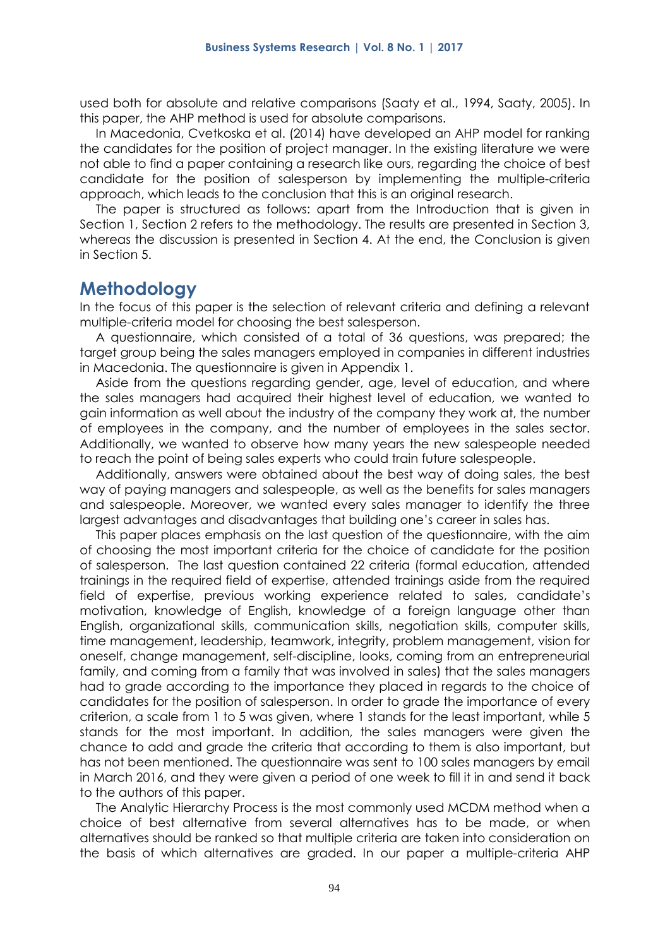used both for absolute and relative comparisons (Saaty et al., 1994, Saaty, 2005). In this paper, the AHP method is used for absolute comparisons.

In Macedonia, Cvetkoska et al. (2014) have developed an AHP model for ranking the candidates for the position of project manager. In the existing literature we were not able to find a paper containing a research like ours, regarding the choice of best candidate for the position of salesperson by implementing the multiple-criteria approach, which leads to the conclusion that this is an original research.

The paper is structured as follows: apart from the Introduction that is given in Section 1, Section 2 refers to the methodology. The results are presented in Section 3, whereas the discussion is presented in Section 4. At the end, the Conclusion is given in Section 5.

### **Methodology**

In the focus of this paper is the selection of relevant criteria and defining a relevant multiple-criteria model for choosing the best salesperson.

A questionnaire, which consisted of a total of 36 questions, was prepared; the target group being the sales managers employed in companies in different industries in Macedonia. The questionnaire is given in Appendix 1.

Aside from the questions regarding gender, age, level of education, and where the sales managers had acquired their highest level of education, we wanted to gain information as well about the industry of the company they work at, the number of employees in the company, and the number of employees in the sales sector. Additionally, we wanted to observe how many years the new salespeople needed to reach the point of being sales experts who could train future salespeople.

Additionally, answers were obtained about the best way of doing sales, the best way of paying managers and salespeople, as well as the benefits for sales managers and salespeople. Moreover, we wanted every sales manager to identify the three largest advantages and disadvantages that building one's career in sales has.

This paper places emphasis on the last question of the questionnaire, with the aim of choosing the most important criteria for the choice of candidate for the position of salesperson. Тhe last question contained 22 criteria (formal education, attended trainings in the required field of expertise, attended trainings aside from the required field of expertise, previous working experience related to sales, candidate's motivation, knowledge of English, knowledge of a foreign language other than English, organizational skills, communication skills, negotiation skills, computer skills, time management, leadership, teamwork, integrity, problem management, vision for oneself, change management, self-discipline, looks, coming from an entrepreneurial family, and coming from a family that was involved in sales) that the sales managers had to grade according to the importance they placed in regards to the choice of candidates for the position of salesperson. In order to grade the importance of every criterion, a scale from 1 to 5 was given, where 1 stands for the least important, while 5 stands for the most important. In addition, the sales managers were given the chance to add and grade the criteria that according to them is also important, but has not been mentioned. The questionnaire was sent to 100 sales managers by email in March 2016, and they were given a period of one week to fill it in and send it back to the authors of this paper.

The Analytic Hierarchy Process is the most commonly used MCDM method when a choice of best alternative from several alternatives has to be made, or when alternatives should be ranked so that multiple criteria are taken into consideration on the basis of which alternatives are graded. In our paper a multiple-criteria AHP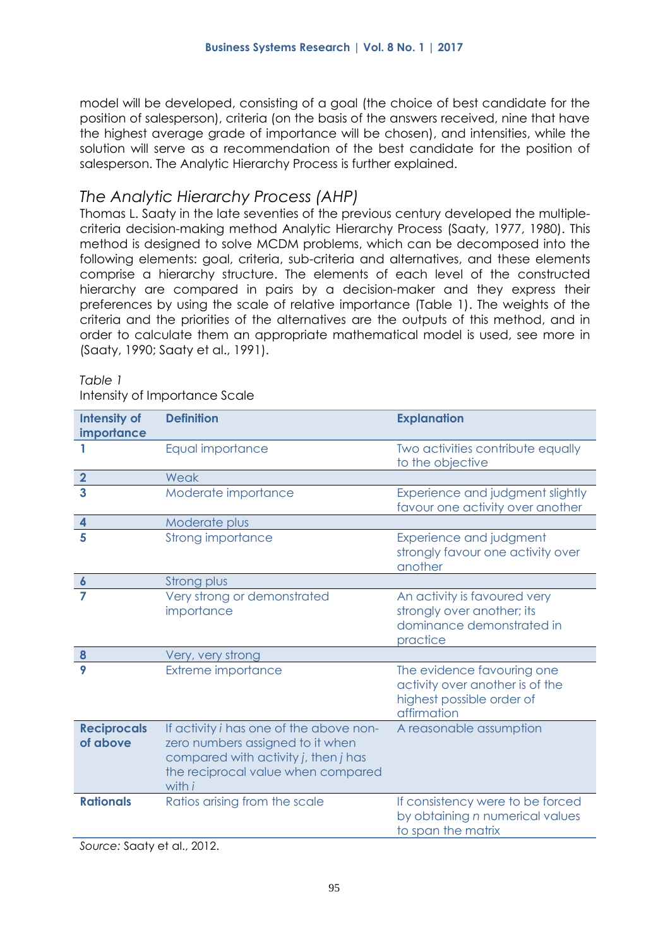model will be developed, consisting of a goal (the choice of best candidate for the position of salesperson), criteria (on the basis of the answers received, nine that have the highest average grade of importance will be chosen), and intensities, while the solution will serve as a recommendation of the best candidate for the position of salesperson. The Analytic Hierarchy Process is further explained.

### *The Analytic Hierarchy Process (AHP)*

Thomas L. Saaty in the late seventies of the previous century developed the multiplecriteria decision-making method Analytic Hierarchy Process (Saaty, 1977, 1980). This method is designed to solve MCDM problems, which can be decomposed into the following elements: goal, criteria, sub-criteria and alternatives, and these elements comprise a hierarchy structure. The elements of each level of the constructed hierarchy are compared in pairs by a decision-maker and they express their preferences by using the scale of relative importance (Table 1). The weights of the criteria and the priorities of the alternatives are the outputs of this method, and in order to calculate them an appropriate mathematical model is used, see more in (Saaty, 1990; Saaty et al., 1991).

#### *Table 1*

Intensity of Importance Scale

| <b>Intensity of</b><br>importance | <b>Definition</b>                                                                                                                                                   | <b>Explanation</b>                                                                                        |
|-----------------------------------|---------------------------------------------------------------------------------------------------------------------------------------------------------------------|-----------------------------------------------------------------------------------------------------------|
|                                   | Equal importance                                                                                                                                                    | Two activities contribute equally<br>to the objective                                                     |
| $\overline{\mathbf{2}}$           | <b>Weak</b>                                                                                                                                                         |                                                                                                           |
| $\overline{3}$                    | Moderate importance                                                                                                                                                 | Experience and judgment slightly<br>favour one activity over another                                      |
| $\overline{\mathbf{4}}$           | Moderate plus                                                                                                                                                       |                                                                                                           |
| $\overline{5}$                    | <b>Strong importance</b>                                                                                                                                            | <b>Experience and judgment</b><br>strongly favour one activity over<br>another                            |
| $\boldsymbol{6}$                  | Strong plus                                                                                                                                                         |                                                                                                           |
| 7                                 | Very strong or demonstrated<br>importance                                                                                                                           | An activity is favoured very<br>strongly over another; its<br>dominance demonstrated in<br>practice       |
| $\boldsymbol{8}$                  | Very, very strong                                                                                                                                                   |                                                                                                           |
| $\overline{9}$                    | <b>Extreme importance</b>                                                                                                                                           | The evidence favouring one<br>activity over another is of the<br>highest possible order of<br>affirmation |
| <b>Reciprocals</b><br>of above    | If activity i has one of the above non-<br>zero numbers assigned to it when<br>compared with activity j, then j has<br>the reciprocal value when compared<br>with i | A reasonable assumption                                                                                   |
| <b>Rationals</b>                  | Ratios arising from the scale                                                                                                                                       | If consistency were to be forced<br>by obtaining n numerical values<br>to span the matrix                 |

*Source:* Saaty et al., 2012.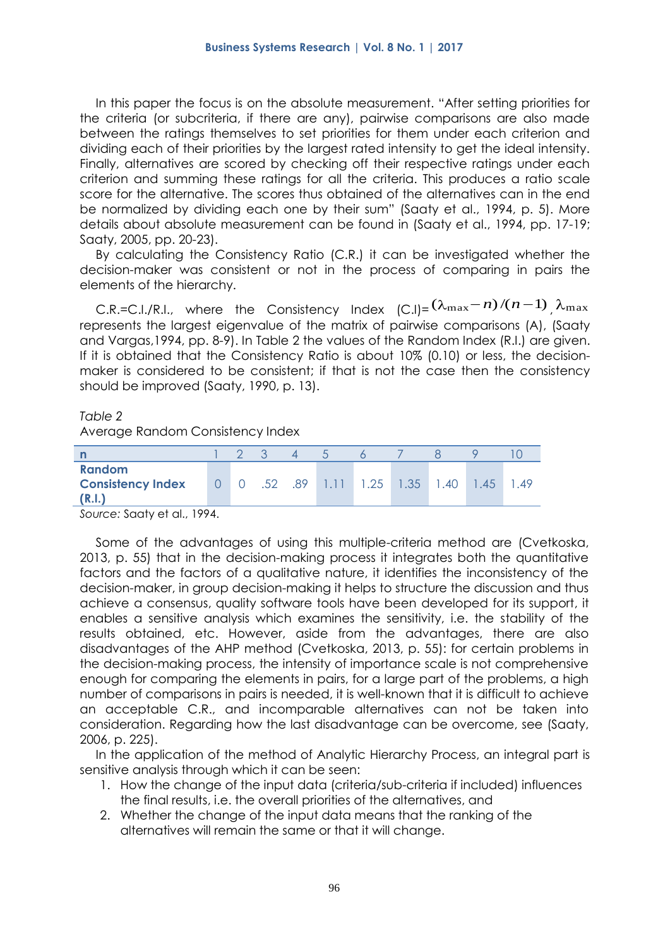In this paper the focus is on the absolute measurement. "After setting priorities for the criteria (or subcriteria, if there are any), pairwise comparisons are also made between the ratings themselves to set priorities for them under each criterion and dividing each of their priorities by the largest rated intensity to get the ideal intensity. Finally, alternatives are scored by checking off their respective ratings under each criterion and summing these ratings for all the criteria. This produces a ratio scale score for the alternative. The scores thus obtained of the alternatives can in the end be normalized by dividing each one by their sum" (Saaty et al., 1994, p. 5). More details about absolute measurement can be found in (Saaty et al., 1994, pp. 17-19; Saaty, 2005, pp. 20-23).

By calculating the Consistency Ratio (C.R.) it can be investigated whether the decision-maker was consistent or not in the process of comparing in pairs the elements of the hierarchy.

C.R.=C.I./R.I., where the Consistency Index  $(C_{n}) = (\lambda_{\max} - n)/(n-1)$  ,  $\lambda_{\max}$ represents the largest eigenvalue of the matrix of pairwise comparisons (A), (Saaty and Vargas,1994, pp. 8-9). In Table 2 the values of the Random Index (R.I.) are given. If it is obtained that the Consistency Ratio is about 10% (0.10) or less, the decisionmaker is considered to be consistent; if that is not the case then the consistency should be improved (Saaty, 1990, p. 13).

*Table 2*

Average Random Consistency Index

| n                                            |  |                   |     |                  |  |      |      |  |
|----------------------------------------------|--|-------------------|-----|------------------|--|------|------|--|
| Random<br><b>Consistency Index</b><br>(R.I.) |  | $\sim$ .52 $\sim$ | .89 | $1.11$ 1.25 1.35 |  | 1.40 | 1.45 |  |

*Source:* Saaty et al., 1994.

Some of the advantages of using this multiple-criteria method are (Cvetkoska, 2013, p. 55) that in the decision-making process it integrates both the quantitative factors and the factors of a qualitative nature, it identifies the inconsistency of the decision-maker, in group decision-making it helps to structure the discussion and thus achieve a consensus, quality software tools have been developed for its support, it enables a sensitive analysis which examines the sensitivity, i.e. the stability of the results obtained, etc. However, aside from the advantages, there are also disadvantages of the AHP method (Cvetkoska, 2013, p. 55): for certain problems in the decision-making process, the intensity of importance scale is not comprehensive enough for comparing the elements in pairs, for a large part of the problems, a high number of comparisons in pairs is needed, it is well-known that it is difficult to achieve an acceptable C.R., and incomparable alternatives can not be taken into consideration. Regarding how the last disadvantage can be overcome, see (Saaty, 2006, p. 225).

In the application of the method of Analytic Hierarchy Process, an integral part is sensitive analysis through which it can be seen:

- 1. How the change of the input data (criteria/sub-criteria if included) influences the final results, i.e. the overall priorities of the alternatives, and
- 2. Whether the change of the input data means that the ranking of the alternatives will remain the same or that it will change.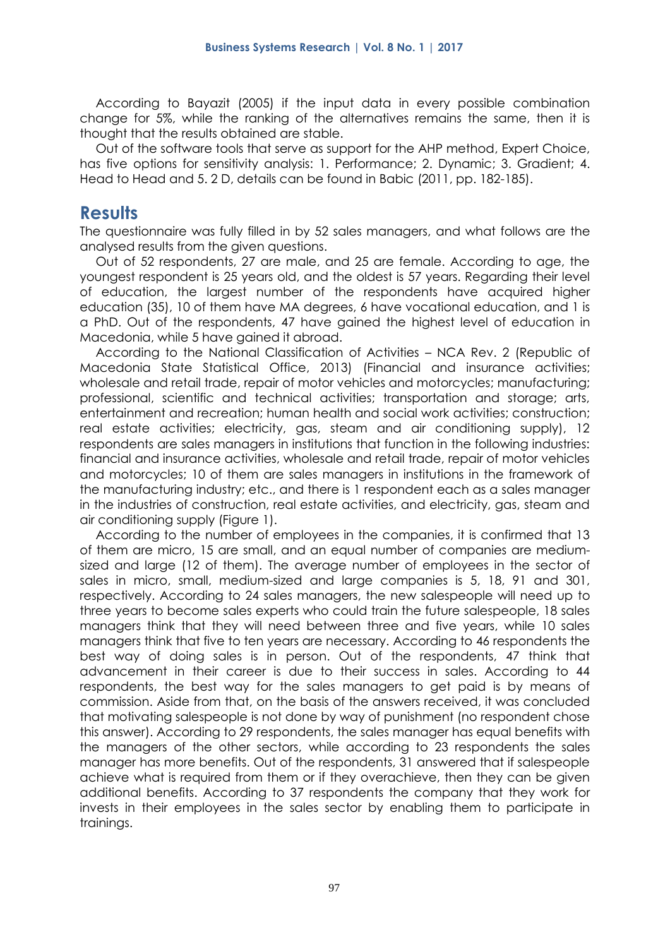According to Bayazit (2005) if the input data in every possible combination change for 5%, while the ranking of the alternatives remains the same, then it is thought that the results obtained are stable.

Out of the software tools that serve as support for the AHP method, Expert Choice, has five options for sensitivity analysis: 1. Performance; 2. Dynamic; 3. Gradient; 4. Head to Head and 5. 2 D, details can be found in Babic (2011, pp. 182-185).

### **Results**

The questionnaire was fully filled in by 52 sales managers, and what follows are the analysed results from the given questions.

Out of 52 respondents, 27 are male, and 25 are female. According to age, the youngest respondent is 25 years old, and the oldest is 57 years. Regarding their level of education, the largest number of the respondents have acquired higher education (35), 10 of them have MA degrees, 6 have vocational education, and 1 is a PhD. Out of the respondents, 47 have gained the highest level of education in Macedonia, while 5 have gained it abroad.

According to the National Classification of Activities – NCA Rev. 2 (Republic of Macedonia State Statistical Office, 2013) (Financial and insurance activities; wholesale and retail trade, repair of motor vehicles and motorcycles; manufacturing; professional, scientific and technical activities; transportation and storage; arts, entertainment and recreation; human health and social work activities; construction; real estate activities; electricity, gas, steam and air conditioning supply), 12 respondents are sales managers in institutions that function in the following industries: financial and insurance activities, wholesale and retail trade, repair of motor vehicles and motorcycles; 10 of them are sales managers in institutions in the framework of the manufacturing industry; etc., and there is 1 respondent each as a sales manager in the industries of construction, real estate activities, and electricity, gas, steam and air conditioning supply (Figure 1).

According to the number of employees in the companies, it is confirmed that 13 of them are micro, 15 are small, and an equal number of companies are mediumsized and large (12 of them). The average number of employees in the sector of sales in micro, small, medium-sized and large companies is 5, 18, 91 and 301, respectively. According to 24 sales managers, the new salespeople will need up to three years to become sales experts who could train the future salespeople, 18 sales managers think that they will need between three and five years, while 10 sales managers think that five to ten years are necessary. According to 46 respondents the best way of doing sales is in person. Out of the respondents, 47 think that advancement in their career is due to their success in sales. According to 44 respondents, the best way for the sales managers to get paid is by means of commission. Aside from that, on the basis of the answers received, it was concluded that motivating salespeople is not done by way of punishment (no respondent chose this answer). According to 29 respondents, the sales manager has equal benefits with the managers of the other sectors, while according to 23 respondents the sales manager has more benefits. Out of the respondents, 31 answered that if salespeople achieve what is required from them or if they overachieve, then they can be given additional benefits. According to 37 respondents the company that they work for invests in their employees in the sales sector by enabling them to participate in trainings.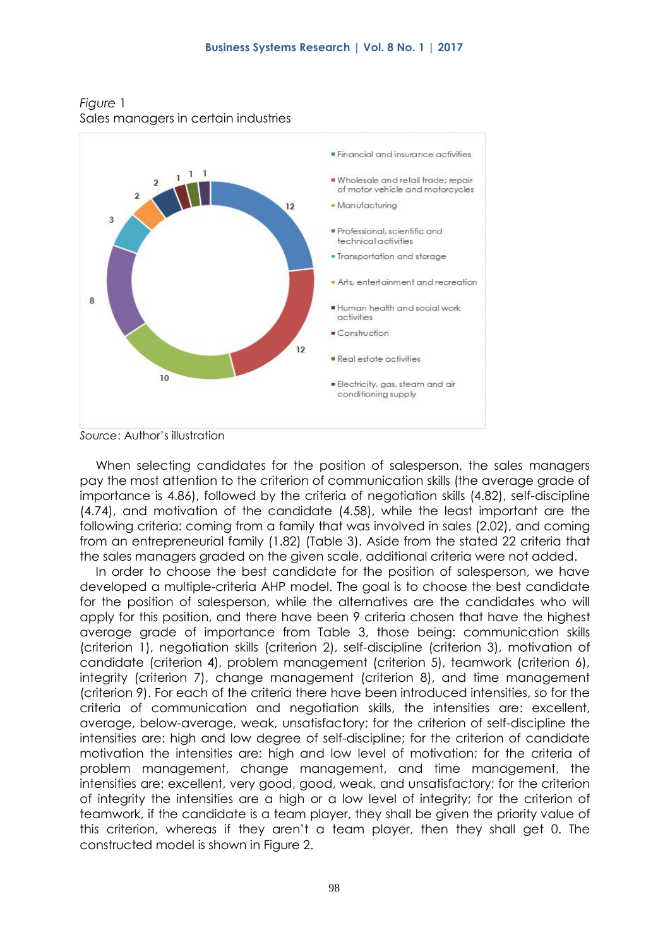

*Figure* 1 Sales managers in certain industries

*Source*: Author's illustration

When selecting candidates for the position of salesperson, the sales managers pay the most attention to the criterion of communication skills (the average grade of importance is 4.86), followed by the criteria of negotiation skills (4.82), self-discipline (4.74), and motivation of the candidate (4.58), while the least important are the following criteria: coming from a family that was involved in sales (2.02), and coming from an entrepreneurial family (1.82) (Table 3). Aside from the stated 22 criteria that the sales managers graded on the given scale, additional criteria were not added.

In order to choose the best candidate for the position of salesperson, we have developed a multiple-criteria AHP model. The goal is to choose the best candidate for the position of salesperson, while the alternatives are the candidates who will apply for this position, and there have been 9 criteria chosen that have the highest average grade of importance from Table 3, those being: communication skills (criterion 1), negotiation skills (criterion 2), self-discipline (criterion 3), motivation of candidate (criterion 4), problem management (criterion 5), teamwork (criterion 6), integrity (criterion 7), change management (criterion 8), and time management (criterion 9). For each of the criteria there have been introduced intensities, so for the criteria of communication and negotiation skills, the intensities are: excellent, average, below-average, weak, unsatisfactory; for the criterion of self-discipline the intensities are: high and low degree of self-discipline; for the criterion of candidate motivation the intensities are: high and low level of motivation; for the criteria of problem management, change management, and time management, the intensities are: excellent, very good, good, weak, and unsatisfactory; for the criterion of integrity the intensities are a high or a low level of integrity; for the criterion of teamwork, if the candidate is a team player, they shall be given the priority value of this criterion, whereas if they aren't a team player, then they shall get 0. The constructed model is shown in Figure 2.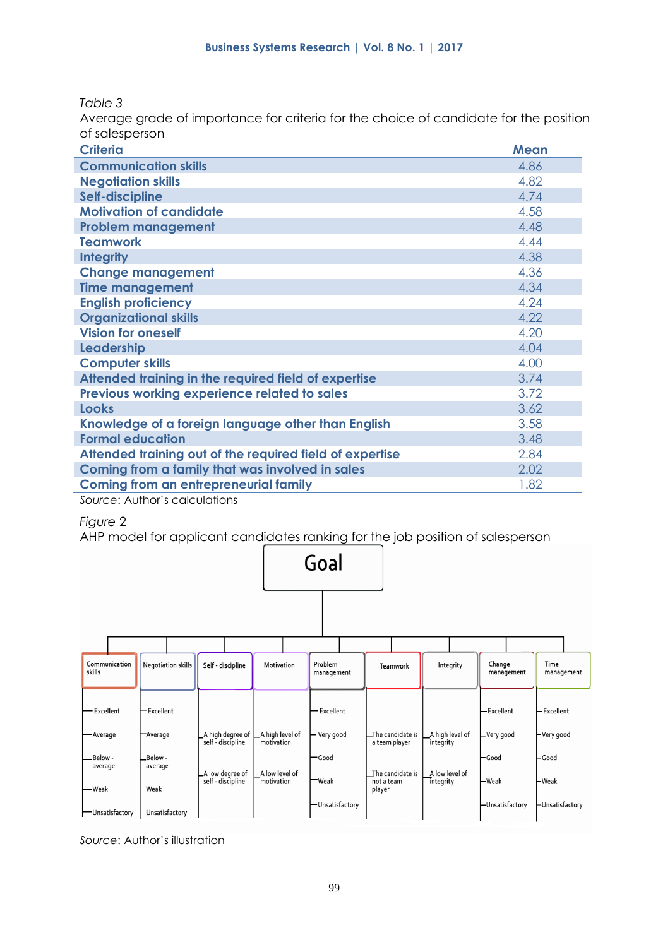*Table 3*

Average grade of importance for criteria for the choice of candidate for the position of salesperson

| <b>Criteria</b>                                          | <b>Mean</b> |
|----------------------------------------------------------|-------------|
| <b>Communication skills</b>                              | 4.86        |
| <b>Negotiation skills</b>                                | 4.82        |
| <b>Self-discipline</b>                                   | 4.74        |
| <b>Motivation of candidate</b>                           | 4.58        |
| <b>Problem management</b>                                | 4.48        |
| <b>Teamwork</b>                                          | 4.44        |
| <b>Integrity</b>                                         | 4.38        |
| <b>Change management</b>                                 | 4.36        |
| <b>Time management</b>                                   | 4.34        |
| <b>English proficiency</b>                               | 4.24        |
| <b>Organizational skills</b>                             | 4.22        |
| <b>Vision for oneself</b>                                | 4.20        |
| Leadership                                               | 4.04        |
| <b>Computer skills</b>                                   | 4.00        |
| Attended training in the required field of expertise     | 3.74        |
| Previous working experience related to sales             | 3.72        |
| <b>Looks</b>                                             | 3.62        |
| Knowledge of a foreign language other than English       | 3.58        |
| <b>Formal education</b>                                  | 3.48        |
| Attended training out of the required field of expertise | 2.84        |
| Coming from a family that was involved in sales          | 2.02        |
| <b>Coming from an entrepreneurial family</b>             | 1.82        |

*Source*: Author's calculations

### *Figure* 2

AHP model for applicant candidates ranking for the job position of salesperson



*Source*: Author's illustration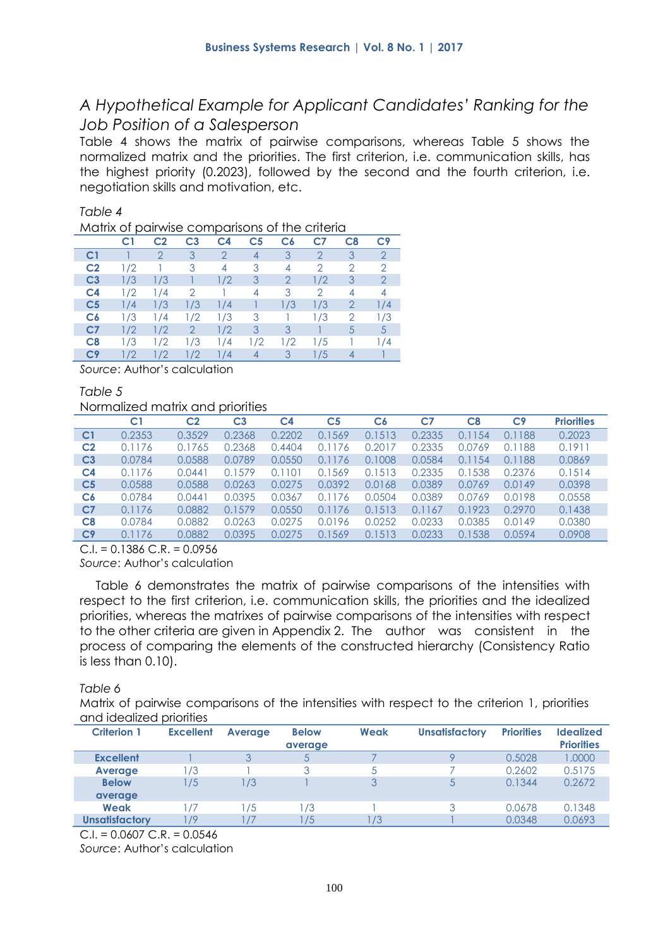### *A Hypothetical Example for Applicant Candidates' Ranking for the Job Position of a Salesperson*

Table 4 shows the matrix of pairwise comparisons, whereas Table 5 shows the normalized matrix and the priorities. The first criterion, i.e. communication skills, has the highest priority (0.2023), followed by the second and the fourth criterion, i.e. negotiation skills and motivation, etc.

### *Table 4*

Matrix of pairwise comparisons of the criteria

|                | C1  | C <sub>2</sub> | C <sub>3</sub> | C <sub>4</sub> | C <sub>5</sub> | C6             | C7             | C8             | C <sub>9</sub> |
|----------------|-----|----------------|----------------|----------------|----------------|----------------|----------------|----------------|----------------|
| C <sub>1</sub> |     | $\overline{2}$ | 3              | $\overline{2}$ | 4              | 3              | $\overline{2}$ | 3              | $\overline{2}$ |
| C <sub>2</sub> | 1/2 |                | 3              | 4              | 3              | 4              | $\overline{2}$ | $\overline{2}$ | $\overline{2}$ |
| C <sub>3</sub> | 1/3 | 1/3            |                | 1/2            | 3              | $\overline{2}$ | 1/2            | 3              | $\overline{2}$ |
| C <sub>4</sub> | 1/2 | 1/4            | $\overline{2}$ |                |                | 3              | $\overline{2}$ | 4              |                |
| C <sub>5</sub> | 1/4 | 1/3            | 1/3            | 1/4            |                | 1/3            | 1/3            | $\overline{2}$ | 1/4            |
| C6             | 1/3 | 1/4            | 1/2            | 1/3            | 3              |                | 1/3            | $\overline{2}$ | 1/3            |
| C <sub>7</sub> | 1/2 | 1/2            | $\overline{2}$ | 1/2            | 3              | 3              |                | 5              | 5 <sup>5</sup> |
| C8             | 1/3 | 1/2            | 1/3            | 1/4            | 1/2            | 1/2            | 1/5            |                | 1/4            |
| C <sub>9</sub> | 1/2 | 1/2            | 1/2            | 1/4            |                | 3              | 1/5            |                |                |

*Source*: Author's calculation

#### *Table 5* Normalized matrix and priorities

|                | C <sub>1</sub> | $\mathsf{C2}$ | C3     | C4          | C <sub>5</sub>   | C6     | C7     | C8     | C <sub>9</sub> | <b>Priorities</b> |
|----------------|----------------|---------------|--------|-------------|------------------|--------|--------|--------|----------------|-------------------|
| C1             | 0.2353         | 0.3529        | 0.2368 | 0.2202      | 0.1569           | 0.1513 | 0.2335 | 0.1154 | 0.1188         | 0.2023            |
| C <sub>2</sub> | 0.1176         | 0.1765        | 0.2368 | 0.4404      | 1176<br>0.1      | 0.2017 | 0.2335 | 0.0769 | 0.1188         | 0.1911            |
| C <sub>3</sub> | 0.0784         | 0.0588        | 0.0789 | 0.0550      | 176<br>$( )$ . 1 | 0.1008 | 0.0584 | 0.1154 | 0.1188         | 0.0869            |
| C4             | 0.1176         | 0.0441        | 0.1579 | 101<br>0. 1 | 0.1569           | 0.1513 | 0.2335 | 0.1538 | 0.2376         | 0.1514            |
| C <sub>5</sub> | 0.0588         | 0.0588        | 0.0263 | 0.0275      | 0.0392           | 0.0168 | 0.0389 | 0.0769 | 0.0149         | 0.0398            |
| C6             | 0.0784         | 0.0441        | 0.0395 | 0.0367      | 0.1176           | 0.0504 | 0.0389 | 0.0769 | 0.0198         | 0.0558            |
| C <sub>7</sub> | 0.1176         | 0.0882        | 0.1579 | 0.0550      | 0.1176           | 0.1513 | 0.1167 | 0.1923 | 0.2970         | 0.1438            |
| C8             | 0.0784         | 0.0882        | 0.0263 | 0.0275      | 0.0196           | 0.0252 | 0.0233 | 0.0385 | 0.0149         | 0.0380            |
| C9             | 0.1176         | 0.0882        | 0.0395 | 0.0275      | 0.1569           | 0.1513 | 0.0233 | 0.1538 | 0.0594         | 0.0908            |

 $C.I. = 0.1386 C.R. = 0.0956$ 

*Source*: Author's calculation

Table 6 demonstrates the matrix of pairwise comparisons of the intensities with respect to the first criterion, i.e. communication skills, the priorities and the idealized priorities, whereas the matrixes of pairwise comparisons of the intensities with respect to the other criteria are given in Appendix 2. The author was consistent in the process of comparing the elements of the constructed hierarchy (Consistency Ratio is less than 0.10).

#### *Table 6*

Matrix of pairwise comparisons of the intensities with respect to the criterion 1, priorities and idealized priorities

| <b>Criterion 1</b>    | <b>Excellent</b> | Average    | <b>Below</b>         | Weak | <b>Unsatisfactory</b> | <b>Priorities</b> | <b>Idealized</b>  |
|-----------------------|------------------|------------|----------------------|------|-----------------------|-------------------|-------------------|
|                       |                  |            | average              |      |                       |                   | <b>Priorities</b> |
| <b>Excellent</b>      |                  |            | $\ddot{\phantom{0}}$ |      | O                     | 0.5028            | 1.0000            |
| Average               | 1/3              |            | 3                    | 5    |                       | 0.2602            | 0.5175            |
| <b>Below</b>          | 1/5              | 1/3        |                      |      | $\circ$               | 0.1344            | 0.2672            |
| average               |                  |            |                      |      |                       |                   |                   |
| Weak                  | -77              | /5         | 1/3                  |      | c                     | 0.0678            | 0.1348            |
| <b>Unsatisfactory</b> | /9               | $\sqrt{7}$ | 1/5                  | 1/3  |                       | 0.0348            | 0.0693            |

 $C.I. = 0.0607 C.R. = 0.0546$ 

*Source*: Author's calculation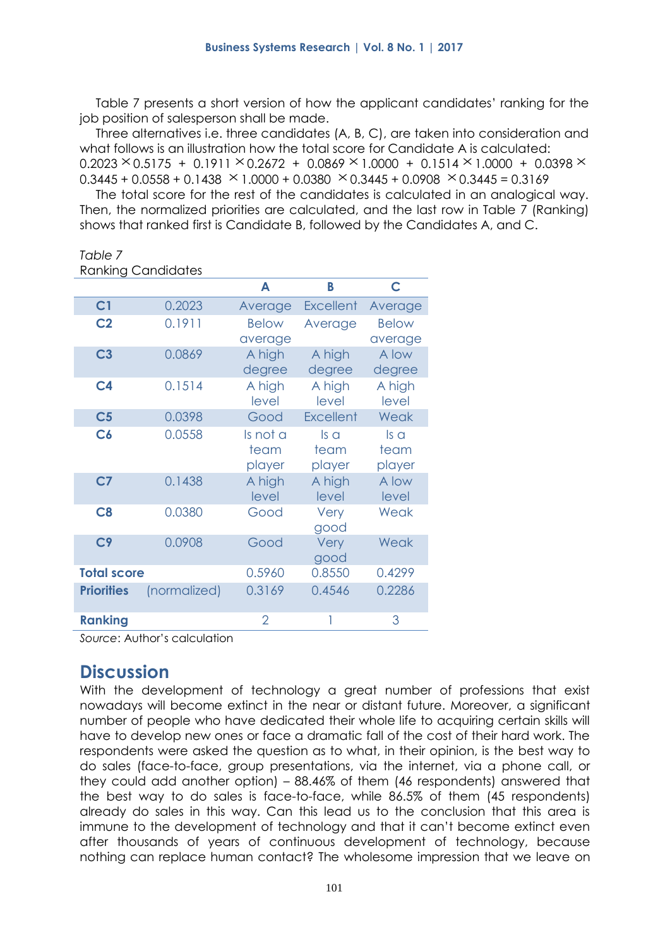Table 7 presents a short version of how the applicant candidates' ranking for the job position of salesperson shall be made.

Three alternatives i.e. three candidates (A, B, C), are taken into consideration and what follows is an illustration how the total score for Candidate A is calculated:  $0.2023 \times 0.5175 + 0.1911 \times 0.2672 + 0.0869 \times 1.0000 + 0.1514 \times 1.0000 + 0.0398 \times$  $0.3445 + 0.0558 + 0.1438 \times 1.0000 + 0.0380 \times 0.3445 + 0.0908 \times 0.3445 = 0.3169$ 

The total score for the rest of the candidates is calculated in an analogical way. Then, the normalized priorities are calculated, and the last row in Table 7 (Ranking) shows that ranked first is Candidate B, followed by the Candidates A, and C.

| Table 7                   |  |
|---------------------------|--|
| <b>Ranking Candidates</b> |  |
|                           |  |

|                    |              | A                          | B                      | C                       |
|--------------------|--------------|----------------------------|------------------------|-------------------------|
| C <sub>1</sub>     | 0.2023       | Average                    | <b>Excellent</b>       | Average                 |
| C <sub>2</sub>     | 0.1911       | <b>Below</b><br>average    | Average                | <b>Below</b><br>average |
| C <sub>3</sub>     | 0.0869       | A high<br>degree           | A high<br>degree       | A low<br>degree         |
| C <sub>4</sub>     | 0.1514       | A high<br>level            | A high<br>level        | A high<br>level         |
| C <sub>5</sub>     | 0.0398       | Good                       | <b>Excellent</b>       | Weak                    |
| C6                 | 0.0558       | Is not a<br>team<br>player | ls a<br>team<br>player | ls a<br>team<br>player  |
| C <sub>7</sub>     | 0.1438       | A high<br>level            | A high<br>level        | A low<br>level          |
| C8                 | 0.0380       | Good                       | Very<br>good           | Weak                    |
| C <sub>9</sub>     | 0.0908       | Good                       | Very<br>good           | Weak                    |
| <b>Total score</b> |              | 0.5960                     | 0.8550                 | 0.4299                  |
| <b>Priorities</b>  | (normalized) | 0.3169                     | 0.4546                 | 0.2286                  |
| <b>Ranking</b>     |              | $\overline{2}$             |                        | 3                       |

*Source*: Author's calculation

### **Discussion**

With the development of technology a great number of professions that exist nowadays will become extinct in the near or distant future. Moreover, a significant number of people who have dedicated their whole life to acquiring certain skills will have to develop new ones or face a dramatic fall of the cost of their hard work. The respondents were asked the question as to what, in their opinion, is the best way to do sales (face-to-face, group presentations, via the internet, via a phone call, or they could add another option) – 88.46% of them (46 respondents) answered that the best way to do sales is face-to-face, while 86.5% of them (45 respondents) already do sales in this way. Can this lead us to the conclusion that this area is immune to the development of technology and that it can't become extinct even after thousands of years of continuous development of technology, because nothing can replace human contact? The wholesome impression that we leave on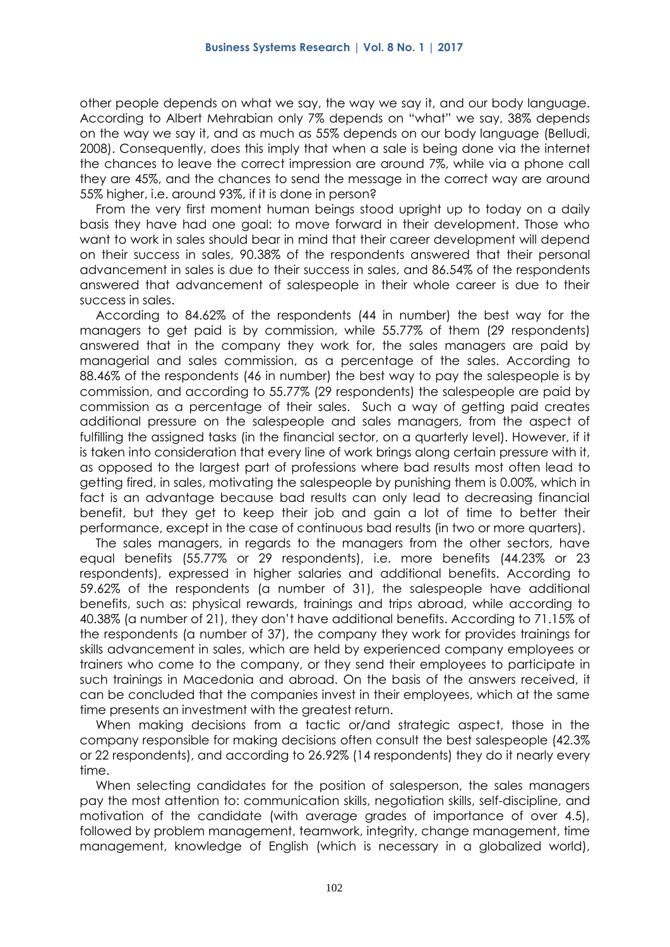other people depends on what we say, the way we say it, and our body language. According to Albert Mehrabian only 7% depends on "what" we say, 38% depends on the way we say it, and as much as 55% depends on our body language (Belludi, 2008). Consequently, does this imply that when a sale is being done via the internet the chances to leave the correct impression are around 7%, while via a phone call they are 45%, and the chances to send the message in the correct way are around 55% higher, i.e. around 93%, if it is done in person?

From the very first moment human beings stood upright up to today on a daily basis they have had one goal: to move forward in their development. Those who want to work in sales should bear in mind that their career development will depend on their success in sales, 90.38% of the respondents answered that their personal advancement in sales is due to their success in sales, and 86.54% of the respondents answered that advancement of salespeople in their whole career is due to their success in sales.

According to 84.62% of the respondents (44 in number) the best way for the managers to get paid is by commission, while 55.77% of them (29 respondents) answered that in the company they work for, the sales managers are paid by managerial and sales commission, as a percentage of the sales. According to 88.46% of the respondents (46 in number) the best way to pay the salespeople is by commission, and according to 55.77% (29 respondents) the salespeople are paid by commission as a percentage of their sales. Such a way of getting paid creates additional pressure on the salespeople and sales managers, from the aspect of fulfilling the assigned tasks (in the financial sector, on a quarterly level). However, if it is taken into consideration that every line of work brings along certain pressure with it, as opposed to the largest part of professions where bad results most often lead to getting fired, in sales, motivating the salespeople by punishing them is 0.00%, which in fact is an advantage because bad results can only lead to decreasing financial benefit, but they get to keep their job and gain a lot of time to better their performance, except in the case of continuous bad results (in two or more quarters).

The sales managers, in regards to the managers from the other sectors, have equal benefits (55.77% or 29 respondents), i.e. more benefits (44.23% or 23 respondents), expressed in higher salaries and additional benefits. According to 59.62% of the respondents (a number of 31), the salespeople have additional benefits, such as: physical rewards, trainings and trips abroad, while according to 40.38% (a number of 21), they don't have additional benefits. According to 71.15% of the respondents (a number of 37), the company they work for provides trainings for skills advancement in sales, which are held by experienced company employees or trainers who come to the company, or they send their employees to participate in such trainings in Macedonia and abroad. On the basis of the answers received, it can be concluded that the companies invest in their employees, which at the same time presents an investment with the greatest return.

When making decisions from a tactic or/and strategic aspect, those in the company responsible for making decisions often consult the best salespeople (42.3% or 22 respondents), and according to 26.92% (14 respondents) they do it nearly every time.

When selecting candidates for the position of salesperson, the sales managers pay the most attention to: communication skills, negotiation skills, self-discipline, and motivation of the candidate (with average grades of importance of over 4.5), followed by problem management, teamwork, integrity, change management, time management, knowledge of English (which is necessary in a globalized world),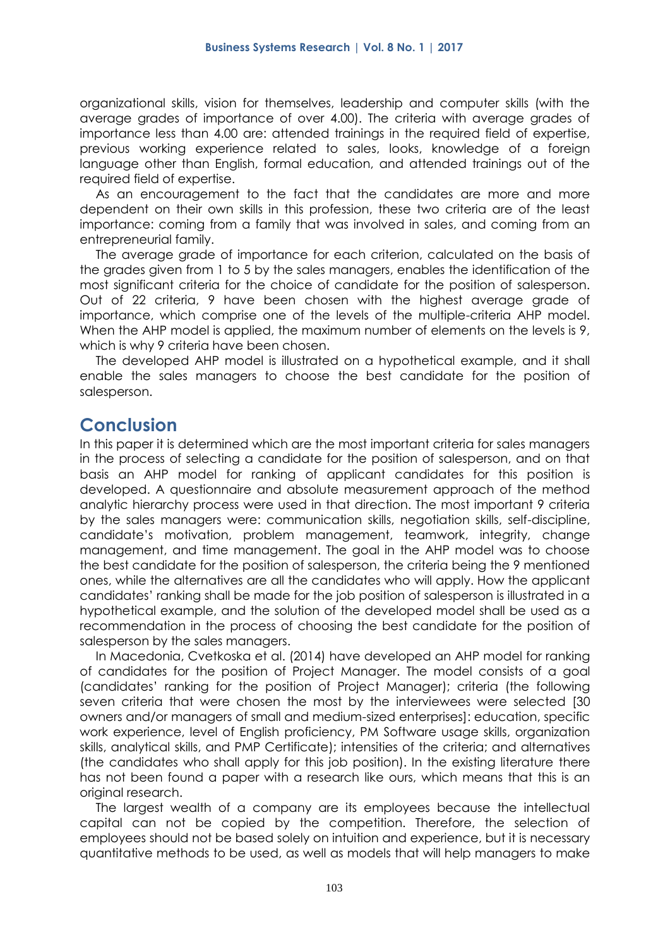organizational skills, vision for themselves, leadership and computer skills (with the average grades of importance of over 4.00). The criteria with average grades of importance less than 4.00 are: attended trainings in the required field of expertise, previous working experience related to sales, looks, knowledge of a foreign language other than English, formal education, and attended trainings out of the required field of expertise.

As an encouragement to the fact that the candidates are more and more dependent on their own skills in this profession, these two criteria are of the least importance: coming from a family that was involved in sales, and coming from an entrepreneurial family.

The average grade of importance for each criterion, calculated on the basis of the grades given from 1 to 5 by the sales managers, enables the identification of the most significant criteria for the choice of candidate for the position of salesperson. Out of 22 criteria, 9 have been chosen with the highest average grade of importance, which comprise one of the levels of the multiple-criteria AHP model. When the AHP model is applied, the maximum number of elements on the levels is 9, which is why 9 criteria have been chosen.

The developed AHP model is illustrated on a hypothetical example, and it shall enable the sales managers to choose the best candidate for the position of salesperson.

### **Conclusion**

In this paper it is determined which are the most important criteria for sales managers in the process of selecting a candidate for the position of salesperson, and on that basis an AHP model for ranking of applicant candidates for this position is developed. A questionnaire and absolute measurement approach of the method analytic hierarchy process were used in that direction. The most important 9 criteria by the sales managers were: communication skills, negotiation skills, self-discipline, candidate's motivation, problem management, teamwork, integrity, change management, and time management. The goal in the AHP model was to choose the best candidate for the position of salesperson, the criteria being the 9 mentioned ones, while the alternatives are all the candidates who will apply. How the applicant candidates' ranking shall be made for the job position of salesperson is illustrated in a hypothetical example, and the solution of the developed model shall be used as a recommendation in the process of choosing the best candidate for the position of salesperson by the sales managers.

In Macedonia, Cvetkoska et al. (2014) have developed an AHP model for ranking of candidates for the position of Project Manager. The model consists of a goal (candidates' ranking for the position of Project Manager); criteria (the following seven criteria that were chosen the most by the interviewees were selected [30 owners and/or managers of small and medium-sized enterprises]: education, specific work experience, level of English proficiency, PM Software usage skills, organization skills, analytical skills, and PMP Certificate); intensities of the criteria; and alternatives (the candidates who shall apply for this job position). In the existing literature there has not been found a paper with a research like ours, which means that this is an original research.

The largest wealth of a company are its employees because the intellectual capital can not be copied by the competition. Therefore, the selection of employees should not be based solely on intuition and experience, but it is necessary quantitative methods to be used, as well as models that will help managers to make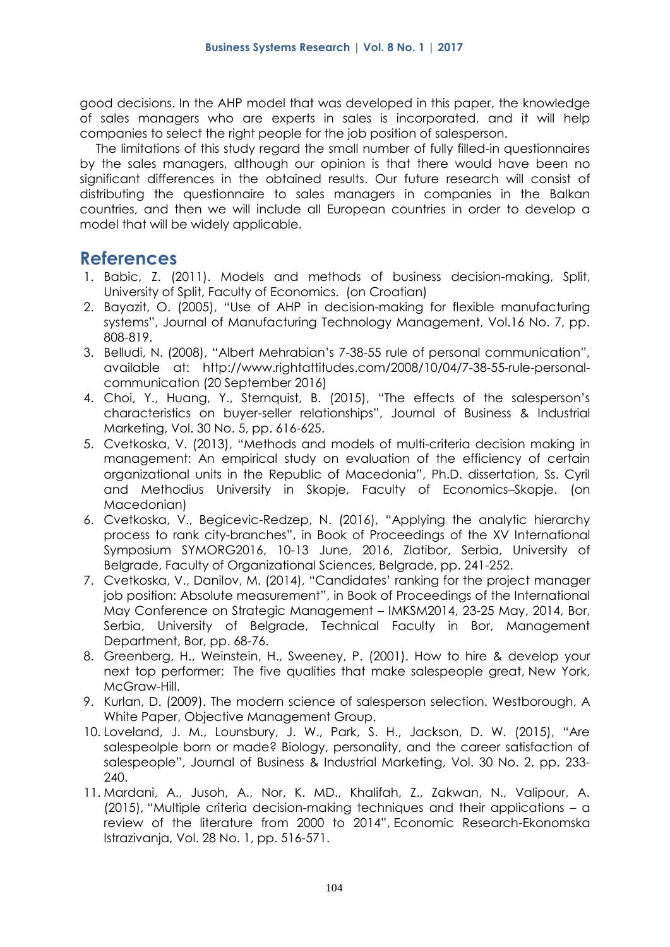good decisions. In the AHP model that was developed in this paper, the knowledge of sales managers who are experts in sales is incorporated, and it will help companies to select the right people for the job position of salesperson.

The limitations of this study regard the small number of fully filled-in questionnaires by the sales managers, although our opinion is that there would have been no significant differences in the obtained results. Our future research will consist of distributing the questionnaire to sales managers in companies in the Balkan countries, and then we will include all European countries in order to develop a model that will be widely applicable.

### **References**

- 1. Babic, Z. (2011). Models and methods of business decision-making, Split, University of Split, Faculty of Economics. (on Croatian)
- 2. Bayazit, O. (2005), "Use of AHP in decision-making for flexible manufacturing systems", Journal of Manufacturing Technology Management, Vol.16 No. 7, pp. 808-819.
- 3. Belludi, N. (2008), "Albert Mehrabian's 7-38-55 rule of personal communication", available at: [http://www.rightattitudes.com/2008/10/04/7-38-55-rule-personal](http://www.rightattitudes.com/2008/10/04/7-38-55-rule-personal-communication)[communication](http://www.rightattitudes.com/2008/10/04/7-38-55-rule-personal-communication) (20 September 2016)
- 4. Choi, Y., Huang, Y., Sternquist, B. (2015), "The effects of the salesperson's characteristics on buyer-seller relationships", Journal of Business & Industrial Marketing, Vol. 30 No. 5, pp. 616-625.
- 5. Cvetkoska, V. (2013), "Methods and models of multi-criteria decision making in management: An empirical study on evaluation of the efficiency of certain organizational units in the Republic of Macedonia", Ph.D. dissertation, Ss. Cyril and Methodius University in Skopje, Faculty of Economics–Skopje. (on Macedonian)
- 6. Cvetkoska, V., Begicevic-Redzep, N. (2016), "Applying the analytic hierarchy process to rank city-branches", in Book of Proceedings of the XV International Symposium SYMORG2016, 10-13 June, 2016, Zlatibor, Serbia, University of Belgrade, Faculty of Organizational Sciences, Belgrade, pp. 241-252.
- 7. Cvetkoska, V., Danilov, M. (2014), "Candidates' ranking for the project manager job position: Absolute measurement", in Book of Proceedings of the International May Conference on Strategic Management – IMKSM2014, 23-25 May, 2014, Bor, Serbia, University of Belgrade, Technical Faculty in Bor, Management Department, Bor, pp. 68-76.
- 8. Greenberg, H., Weinstein, H., Sweeney, P. (2001). How to hire & develop your next top performer: The five qualities that make salespeople great, New York, McGraw-Hill.
- 9. Kurlan, D. (2009). The modern science of salesperson selection. Westborough, A White Paper, Objective Management Group.
- 10. Loveland, J. M., Lounsbury, J. W., Park, S. H., Jackson, D. W. (2015), "Are salespeolple born or made? Biology, personality, and the career satisfaction of salespeople", Journal of Business & Industrial Marketing, Vol. 30 No. 2, pp. 233- 240.
- 11. Mardani, A., Jusoh, A., Nor, K. MD., Khalifah, Z., Zakwan, N., Valipour, A. (2015), "Multiple criteria decision-making techniques and their applications – a review of the literature from 2000 to 2014", Economic Research-Ekonomska Istrazivanja, Vol. 28 No. 1, pp. 516-571.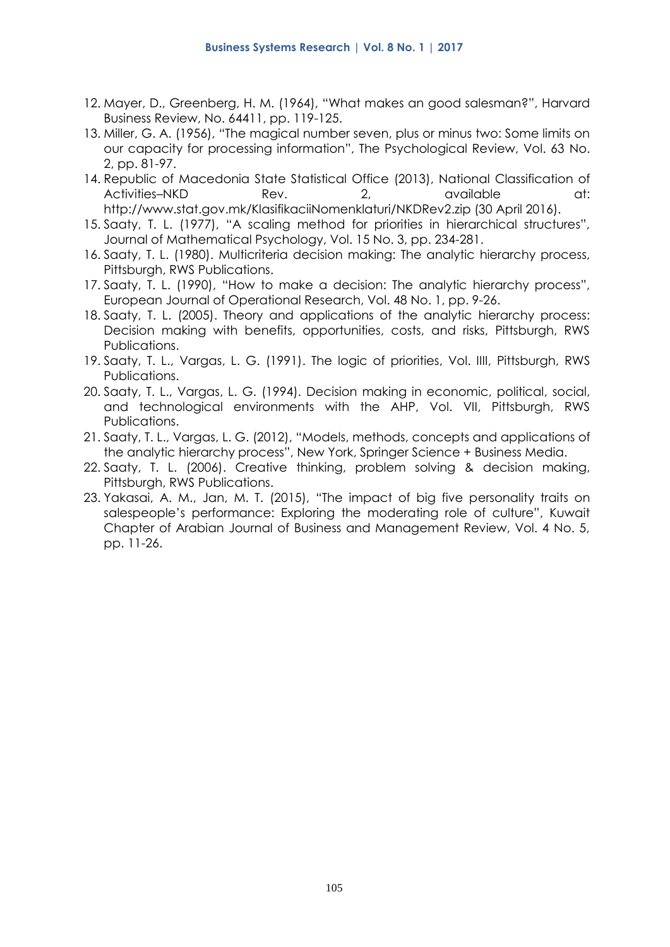- 12. Mayer, D., Greenberg, H. M. (1964), "What makes an good salesman?", Harvard Business Review, No. 64411, pp. 119-125.
- 13. Miller, G. A. (1956), "The magical number seven, plus or minus two: Some limits on our capacity for processing information", The Psychological Review, Vol. 63 No. 2, pp. 81-97.
- 14. Republic of Macedonia State Statistical Office (2013), National Classification of Activities–NKD Rev. 2, available at: http://www.stat.gov.mk/KlasifikaciiNomenklaturi/NKDRev2.zip (30 April 2016).
- 15. Saaty, T. L. (1977), "A scaling method for priorities in hierarchical structures", Journal of Mathematical Psychology, Vol. 15 No. 3, pp. 234-281.
- 16. Saaty, T. L. (1980). Multicriteria decision making: The analytic hierarchy process, Pittsburgh, RWS Publications.
- 17. Saaty, T. L. (1990), "How to make a decision: The analytic hierarchy process", European Journal of Operational Research, Vol. 48 No. 1, pp. 9-26.
- 18. Saaty, T. L. (2005). Theory and applications of the analytic hierarchy process: Decision making with benefits, opportunities, costs, and risks, Pittsburgh, RWS Publications.
- 19. Saaty, T. L., Vargas, L. G. (1991). The logic of priorities, Vol. IIII, Pittsburgh, RWS Publications.
- 20. Saaty, T. L., Vargas, L. G. (1994). Decision making in economic, political, social, and technological environments with the AHP, Vol. VII, Pittsburgh, RWS Publications.
- 21. Saaty, T. L., Vargas, L. G. (2012), "Models, methods, concepts and applications of the analytic hierarchy process", New York, Springer Science + Business Media.
- 22. Saaty, T. L. (2006). Creative thinking, problem solving & decision making, Pittsburgh, RWS Publications.
- 23. Yakasai, A. M., Jan, M. T. (2015), "The impact of big five personality traits on salespeople's performance: Exploring the moderating role of culture", Kuwait Chapter of Arabian Journal of Business and Management Review, Vol. 4 No. 5, pp. 11-26.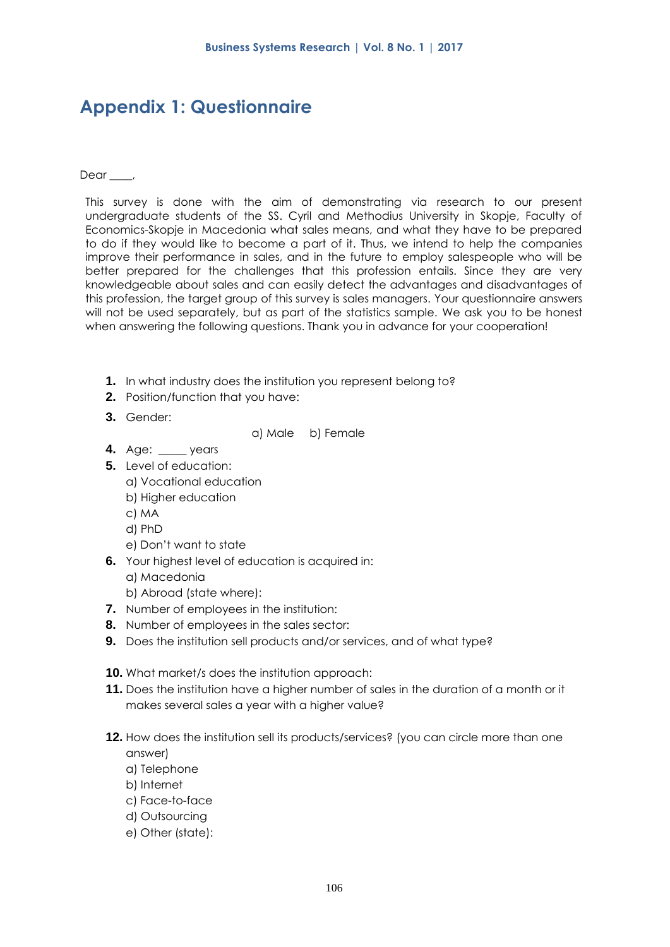# **Appendix 1: Questionnaire**

### Dear \_\_\_\_,

This survey is done with the aim of demonstrating via research to our present undergraduate students of the SS. Cyril and Methodius University in Skopje, Faculty of Economics-Skopje in Macedonia what sales means, and what they have to be prepared to do if they would like to become a part of it. Thus, we intend to help the companies improve their performance in sales, and in the future to employ salespeople who will be better prepared for the challenges that this profession entails. Since they are very knowledgeable about sales and can easily detect the advantages and disadvantages of this profession, the target group of this survey is sales managers. Your questionnaire answers will not be used separately, but as part of the statistics sample. We ask you to be honest when answering the following questions. Thank you in advance for your cooperation!

- **1.** In what industry does the institution you represent belong to?
- **2.** Position/function that you have:
- **3.** Gender:
- a) Male b) Female
- **4.** Age: years
- **5.** Level of education:
	- a) Vocational education
	- b) Higher education
	- c) MA
	- d) PhD
	- e) Don't want to state
- **6.** Your highest level of education is acquired in:
	- a) Macedonia
	- b) Abroad (state where):
- **7.** Number of employees in the institution:
- **8.** Number of employees in the sales sector:
- **9.** Does the institution sell products and/or services, and of what type?
- **10.** What market/s does the institution approach:
- **11.** Does the institution have a higher number of sales in the duration of a month or it makes several sales a year with a higher value?
- **12.** How does the institution sell its products/services? (you can circle more than one answer)
	- a) Telephone
	- b) Internet
	- c) Face-to-face
	- d) Outsourcing
	- e) Other (state):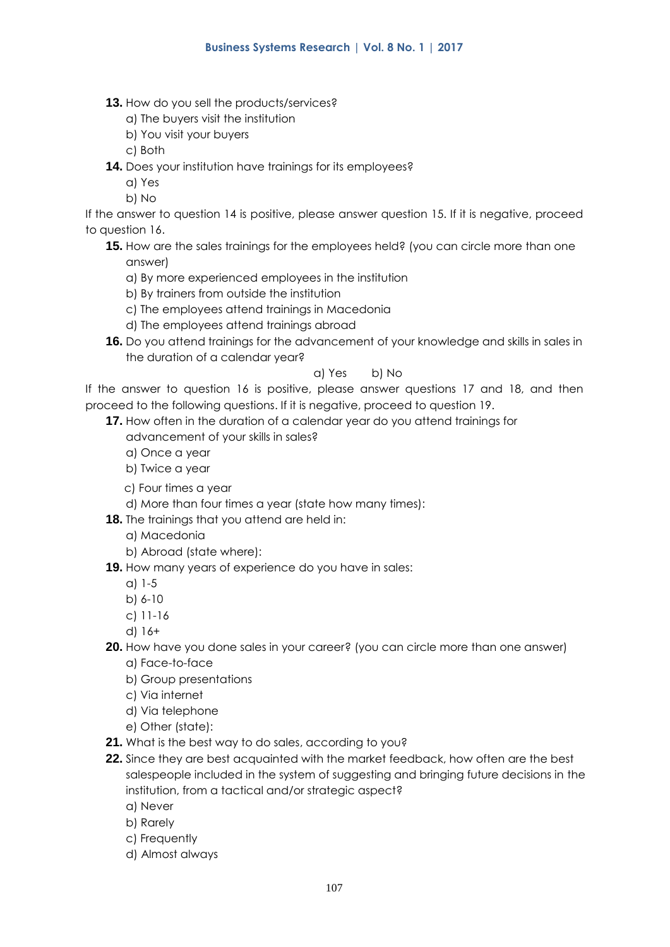- **13.** How do you sell the products/services?
	- a) The buyers visit the institution
	- b) You visit your buyers
	- c) Both
- **14.** Does your institution have trainings for its employees?
	- a) Yes
	- b) No

If the answer to question 14 is positive, please answer question 15. If it is negative, proceed to question 16.

- **15.** How are the sales trainings for the employees held? (you can circle more than one answer)
	- a) By more experienced employees in the institution
	- b) By trainers from outside the institution
	- c) The employees attend trainings in Macedonia
	- d) The employees attend trainings abroad
- **16.** Do you attend trainings for the advancement of your knowledge and skills in sales in the duration of a calendar year?

#### a) Yes b) No

If the answer to question 16 is positive, please answer questions 17 and 18, and then proceed to the following questions. If it is negative, proceed to question 19.

**17.** How often in the duration of a calendar year do you attend trainings for

advancement of your skills in sales?

- a) Once a year
- b) Twice a year
- c) Four times a year
- d) More than four times a year (state how many times):
- **18.** The trainings that you attend are held in:
	- a) Macedonia
	- b) Abroad (state where):
- **19.** How many years of experience do you have in sales:
	- a) 1-5
	- b) 6-10
	- c) 11-16
	- d) 16+
- **20.** How have you done sales in your career? (you can circle more than one answer) a) Face-to-face
	- b) Group presentations
	- c) Via internet
	-
	- d) Via telephone
	- e) Other (state):
- **21.** What is the best way to do sales, according to you?
- **22.** Since they are best acquainted with the market feedback, how often are the best salespeople included in the system of suggesting and bringing future decisions in the institution, from a tactical and/or strategic aspect?
	- a) Never
	- b) Rarely
	- c) Frequently
	- d) Almost always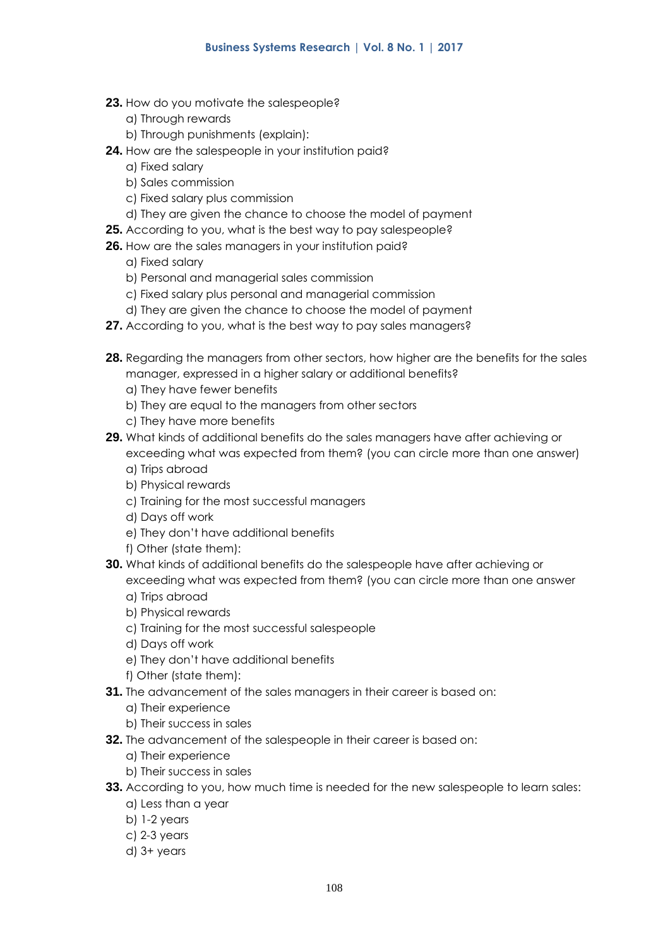- **23.** How do you motivate the salespeople?
	- a) Through rewards
	- b) Through punishments (explain):
- **24.** How are the salespeople in your institution paid?
	- a) Fixed salary
	- b) Sales commission
	- c) Fixed salary plus commission
	- d) They are given the chance to choose the model of payment
- **25.** According to you, what is the best way to pay salespeople?
- **26.** How are the sales managers in your institution paid?
	- a) Fixed salary
	- b) Personal and managerial sales commission
	- c) Fixed salary plus personal and managerial commission
	- d) They are given the chance to choose the model of payment
- **27.** According to you, what is the best way to pay sales managers?
- **28.** Regarding the managers from other sectors, how higher are the benefits for the sales manager, expressed in a higher salary or additional benefits?
	- a) They have fewer benefits
	- b) They are equal to the managers from other sectors
	- c) They have more benefits
- **29.** What kinds of additional benefits do the sales managers have after achieving or exceeding what was expected from them? (you can circle more than one answer) a) Trips abroad
	-
	- b) Physical rewards
	- c) Training for the most successful managers
	- d) Days off work
	- e) They don't have additional benefits
	- f) Other (state them):
- **30.** What kinds of additional benefits do the salespeople have after achieving or exceeding what was expected from them? (you can circle more than one answer
	- a) Trips abroad
	- b) Physical rewards
	- c) Training for the most successful salespeople
	- d) Days off work
	- e) They don't have additional benefits
	- f) Other (state them):
- **31.** The advancement of the sales managers in their career is based on:
	- a) Their experience
	- b) Their success in sales
- **32.** The advancement of the salespeople in their career is based on:
	- a) Their experience
	- b) Their success in sales
- **33.** According to you, how much time is needed for the new salespeople to learn sales:
	- a) Less than a year
	- b) 1-2 years
	- c) 2-3 years
	- d) 3+ years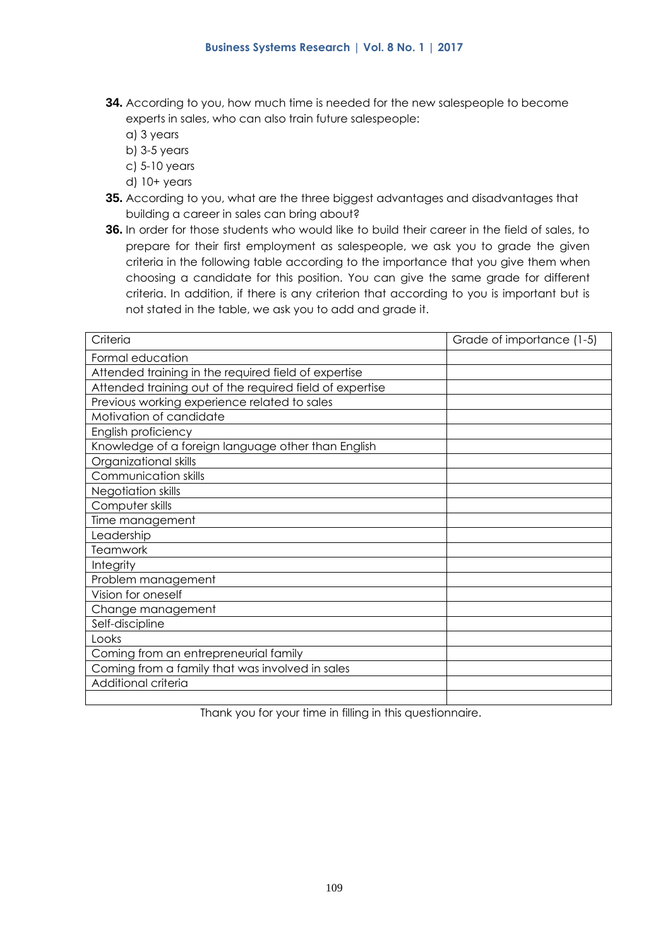- **34.** According to you, how much time is needed for the new salespeople to become experts in sales, who can also train future salespeople:
	- a) 3 years
	- b) 3-5 years
	- c) 5-10 years
	- d) 10+ years
- **35.** According to you, what are the three biggest advantages and disadvantages that building a career in sales can bring about?
- **36.** In order for those students who would like to build their career in the field of sales, to prepare for their first employment as salespeople, we ask you to grade the given criteria in the following table according to the importance that you give them when choosing a candidate for this position. You can give the same grade for different criteria. In addition, if there is any criterion that according to you is important but is not stated in the table, we ask you to add and grade it.

| Criteria                                                 | Grade of importance (1-5) |
|----------------------------------------------------------|---------------------------|
| Formal education                                         |                           |
| Attended training in the required field of expertise     |                           |
| Attended training out of the required field of expertise |                           |
| Previous working experience related to sales             |                           |
| Motivation of candidate                                  |                           |
| English proficiency                                      |                           |
| Knowledge of a foreign language other than English       |                           |
| Organizational skills                                    |                           |
| Communication skills                                     |                           |
| Negotiation skills                                       |                           |
| Computer skills                                          |                           |
| Time management                                          |                           |
| Leadership                                               |                           |
| <b>Teamwork</b>                                          |                           |
| Integrity                                                |                           |
| Problem management                                       |                           |
| Vision for oneself                                       |                           |
| Change management                                        |                           |
| Self-discipline                                          |                           |
| Looks                                                    |                           |
| Coming from an entrepreneurial family                    |                           |
| Coming from a family that was involved in sales          |                           |
| Additional criteria                                      |                           |
|                                                          |                           |

Thank you for your time in filling in this questionnaire.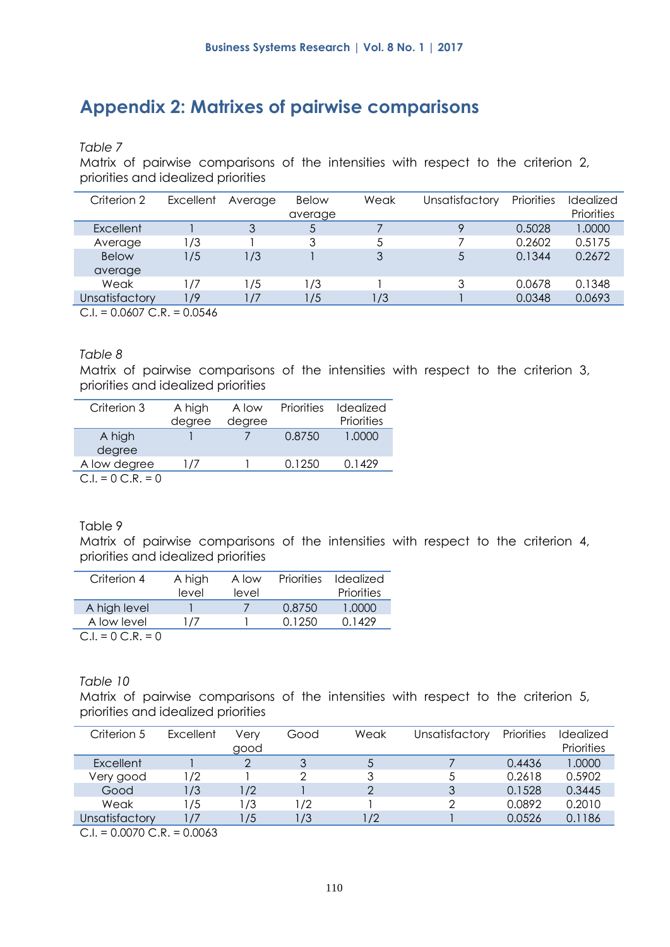## **Appendix 2: Matrixes of pairwise comparisons**

*Table 7*

Matrix of pairwise comparisons of the intensities with respect to the criterion 2, priorities and idealized priorities

| Criterion 2                                     | Excellent | Average | <b>Below</b> | Weak | Unsatisfactory | Priorities | Idealized  |
|-------------------------------------------------|-----------|---------|--------------|------|----------------|------------|------------|
|                                                 |           |         | average      |      |                |            | Priorities |
| Excellent                                       |           | 3       | 5            |      | 9              | 0.5028     | 1.0000     |
| Average                                         | 1/3       |         | 3            |      |                | 0.2602     | 0.5175     |
| <b>Below</b>                                    | 1/5       | 1/3     |              | 3    | 5              | 0.1344     | 0.2672     |
| average                                         |           |         |              |      |                |            |            |
| Weak                                            | 177       | l /5    | l /3         |      | 3              | 0.0678     | 0.1348     |
| Unsatisfactory                                  | l /9      | 1/7     | 1/5          | 1/3  |                | 0.0348     | 0.0693     |
| $C_1$ $C_2$ $C_3$ $C_1$ $C_2$ $C_3$ $C_4$ $C_5$ |           |         |              |      |                |            |            |

 $C.I. = 0.0607 C.R. = 0.0546$ 

#### *Table 8*

Matrix of pairwise comparisons of the intensities with respect to the criterion 3, priorities and idealized priorities

| Criterion 3         | A high | A low  | Priorities | Idealized  |
|---------------------|--------|--------|------------|------------|
|                     | degree | degree |            | Priorities |
| A high              |        |        | 0.8750     | 1.0000     |
| degree              |        |        |            |            |
| A low degree        | l /7   |        | 0.1250     | 0.1429     |
| $C.I. = 0 C.R. = 0$ |        |        |            |            |

Table 9

Matrix of pairwise comparisons of the intensities with respect to the criterion 4, priorities and idealized priorities

| Criterion 4          | A high<br>level | A low<br>level |        | Priorities Idealized<br>Priorities |
|----------------------|-----------------|----------------|--------|------------------------------------|
| A high level         |                 |                | 0.8750 | 1.0000                             |
| A low level          | 177             |                | 0.1250 | 0.1429                             |
| $\sim$ $\sim$ $\sim$ |                 |                |        |                                    |

 $C.I. = 0 C.R. = 0$ 

#### *Table 10*

Matrix of pairwise comparisons of the intensities with respect to the criterion 5, priorities and idealized priorities

| Criterion 5                     | Excellent | Verv | Good | Weak | Unsatisfactory | Priorities | Idealized  |
|---------------------------------|-----------|------|------|------|----------------|------------|------------|
|                                 |           | good |      |      |                |            | Priorities |
| Excellent                       |           |      | 3    |      |                | 0.4436     | 1.0000     |
| Very good                       | /2        |      |      |      | 5              | 0.2618     | 0.5902     |
| Good                            | 1/3       | 1/2  |      |      | 3              | 0.1528     | 0.3445     |
| Weak                            | 75        | 1/3  | 1/2  |      | ↷              | 0.0892     | 0.2010     |
| Unsatisfactory                  | 1/7       | 1/5  | 1/3  | l /2 |                | 0.0526     | 0.1186     |
| $0.0070$ $0.5$<br>$\sim$ $\sim$ | 0.0010    |      |      |      |                |            |            |

 $C.I. = 0.0070 C.R. = 0.0063$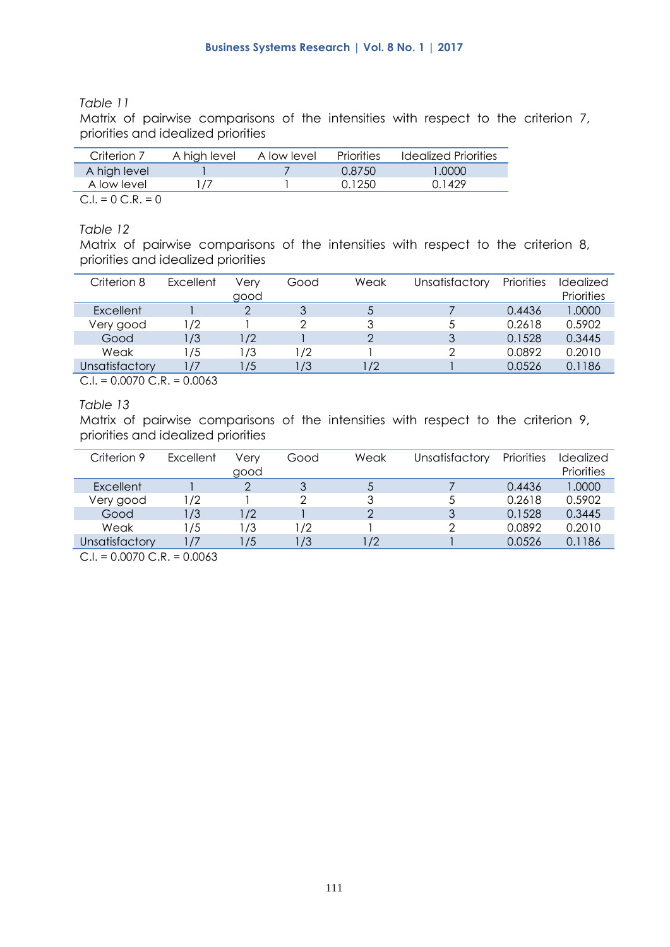*Table 11*

Matrix of pairwise comparisons of the intensities with respect to the criterion 7, priorities and idealized priorities

| Criterion 7  | A high level | A low level | Priorities | Idealized Priorities |
|--------------|--------------|-------------|------------|----------------------|
| A high level |              |             | 0.8750     | 1.0000               |
| A low level  |              |             | 0.1250     | 0 1 4 2 9            |

 $C.I. = 0 C.R. = 0$ 

#### *Table 12*

Matrix of pairwise comparisons of the intensities with respect to the criterion 8, priorities and idealized priorities

| Criterion 8                                      | Excellent | Verv | Good | Weak | Unsatisfactory | Priorities | Idealized  |
|--------------------------------------------------|-----------|------|------|------|----------------|------------|------------|
|                                                  |           | good |      |      |                |            | Priorities |
| Excellent                                        |           |      | 3    |      |                | 0.4436     | 1.0000     |
| Very good                                        | /2        |      |      |      | 5              | 0.2618     | 0.5902     |
| Good                                             | l/3       | 1/2  |      |      | 3              | 0.1528     | 0.3445     |
| Weak                                             | 1/5       | l /3 | 1/2  |      | っ              | 0.0892     | 0.2010     |
| Unsatisfactory                                   | 17        | l /5 | 1/3  | l /2 |                | 0.0526     | 0.1186     |
| $ \cap$ $\cap$ $\cap$ $\cap$ $\cap$<br>$ 0.0012$ |           |      |      |      |                |            |            |

 $C.I. = 0.0070 C.R. = 0.0063$ 

#### *Table 13*

Matrix of pairwise comparisons of the intensities with respect to the criterion 9, priorities and idealized priorities

| Criterion 9                                         | Excellent            | Verv | Good | Weak | Unsatisfactory | Priorities | Idealized         |
|-----------------------------------------------------|----------------------|------|------|------|----------------|------------|-------------------|
|                                                     |                      | good |      |      |                |            | <b>Priorities</b> |
| Excellent                                           |                      |      |      |      |                | 0.4436     | 1.0000            |
| Very good                                           | $\frac{12}{2}$       |      |      |      |                | 0.2618     | 0.5902            |
| Good                                                | 1/3                  | 1/2  |      |      |                | 0.1528     | 0.3445            |
| Weak                                                | /5                   | 1/3  | 1/2  |      |                | 0.0892     | 0.2010            |
| Unsatisfactory                                      | l /7                 | 1/5  | 1/3  | 1/2  |                | 0.0526     | 0.1186            |
| $\sim$ $\sim$ $\sim$ $\sim$ $\sim$<br>$\sim$ $\sim$ | $\sim$ $\sim$ $\sim$ |      |      |      |                |            |                   |

 $C.I. = 0.0070 C.R. = 0.0063$